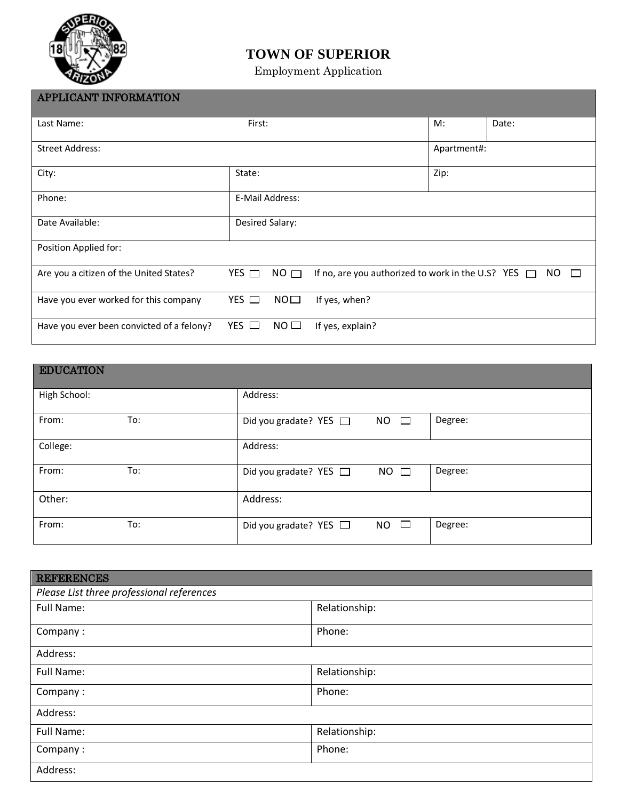

## **TOWN OF SUPERIOR**

Employment Application

| <b>APPLICANT INFORMATION</b>              |                 |                 |                                                          |             |               |
|-------------------------------------------|-----------------|-----------------|----------------------------------------------------------|-------------|---------------|
| Last Name:                                | First:          |                 |                                                          | M:          | Date:         |
| <b>Street Address:</b>                    |                 |                 |                                                          | Apartment#: |               |
| City:                                     | State:          |                 | Zip:                                                     |             |               |
| Phone:                                    |                 | E-Mail Address: |                                                          |             |               |
| Date Available:                           | Desired Salary: |                 |                                                          |             |               |
| Position Applied for:                     |                 |                 |                                                          |             |               |
| Are you a citizen of the United States?   | $YES$ $\Box$    | $NO$ $\Box$     | If no, are you authorized to work in the U.S? YES $\Box$ |             | NO.<br>$\Box$ |
| Have you ever worked for this company     | $YES$ $\Box$    | NO <sub>1</sub> | If yes, when?                                            |             |               |
| Have you ever been convicted of a felony? | $YES$ $\Box$    | NO <sub>1</sub> | If yes, explain?                                         |             |               |

| <b>EDUCATION</b> |     |                                                               |  |
|------------------|-----|---------------------------------------------------------------|--|
| High School:     |     | Address:                                                      |  |
| From:            | To: | Degree:<br>Did you gradate? YES $\Box$<br><b>NO</b><br>$\Box$ |  |
| College:         |     | Address:                                                      |  |
| From:            | To: | Degree:<br>$NO$ $\square$<br>Did you gradate? YES $\Box$      |  |
| Other:           |     | Address:                                                      |  |
| From:            | To: | Degree:<br>$\Box$<br><b>NO</b><br>Did you gradate? YES $\Box$ |  |

| <b>REFERENCES</b>                         |               |  |  |  |
|-------------------------------------------|---------------|--|--|--|
| Please List three professional references |               |  |  |  |
| Full Name:                                | Relationship: |  |  |  |
| Company:                                  | Phone:        |  |  |  |
| Address:                                  |               |  |  |  |
| Full Name:                                | Relationship: |  |  |  |
| Company:                                  | Phone:        |  |  |  |
| Address:                                  |               |  |  |  |
| Full Name:                                | Relationship: |  |  |  |
| Company:                                  | Phone:        |  |  |  |
| Address:                                  |               |  |  |  |